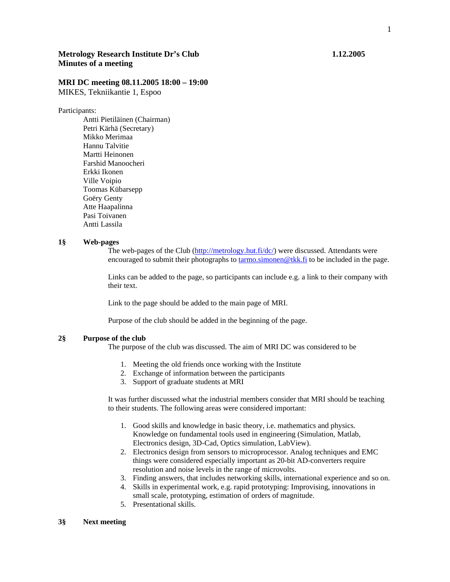# **Metrology Research Institute Dr's Club 1.12.2005 Minutes of a meeting**

## **MRI DC meeting 08.11.2005 18:00 – 19:00**

MIKES, Tekniikantie 1, Espoo

Participants:

 Antti Pietiläinen (Chairman) Petri Kärhä (Secretary) Mikko Merimaa Hannu Talvitie Martti Heinonen Farshid Manoocheri Erkki Ikonen Ville Voipio Toomas Kübarsepp Goëry Genty Atte Haapalinna Pasi Toivanen Antti Lassila

### **1§ Web-pages**

The web-pages of the Club (http://metrology.hut.fi/dc/) were discussed. Attendants were encouraged to submit their photographs to tarmo.simonen@tkk.fi to be included in the page.

Links can be added to the page, so participants can include e.g. a link to their company with their text.

Link to the page should be added to the main page of MRI.

Purpose of the club should be added in the beginning of the page.

### **2§ Purpose of the club**

The purpose of the club was discussed. The aim of MRI DC was considered to be

- 1. Meeting the old friends once working with the Institute
- 2. Exchange of information between the participants
- 3. Support of graduate students at MRI

It was further discussed what the industrial members consider that MRI should be teaching to their students. The following areas were considered important:

- 1. Good skills and knowledge in basic theory, i.e. mathematics and physics. Knowledge on fundamental tools used in engineering (Simulation, Matlab, Electronics design, 3D-Cad, Optics simulation, LabView).
- 2. Electronics design from sensors to microprocessor. Analog techniques and EMC things were considered especially important as 20-bit AD-converters require resolution and noise levels in the range of microvolts.
- 3. Finding answers, that includes networking skills, international experience and so on.
- 4. Skills in experimental work, e.g. rapid prototyping: Improvising, innovations in small scale, prototyping, estimation of orders of magnitude.
- 5. Presentational skills.

#### **3§ Next meeting**